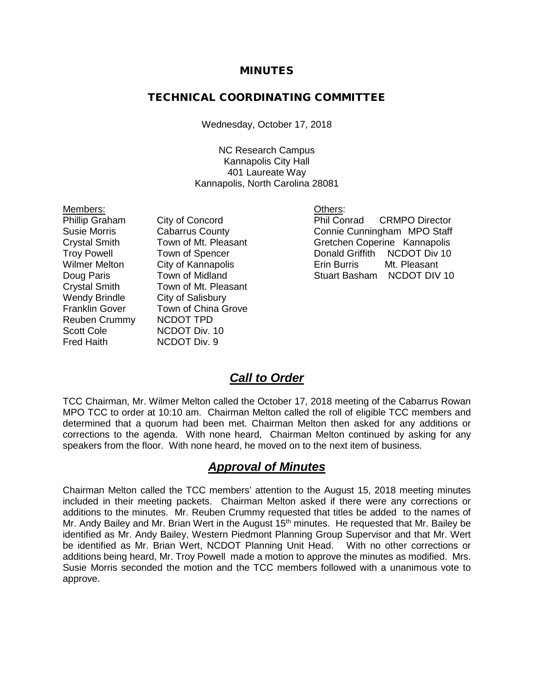#### MINUTES

#### TECHNICAL COORDINATING COMMITTEE

Wednesday, October 17, 2018

NC Research Campus Kannapolis City Hall 401 Laureate Way Kannapolis, North Carolina 28081

Wendy Brindle City of Salisbury Reuben Crummy NCDOT TPD<br>Scott Cole MCDOT Div. Scott Cole **NCDOT Div. 10**<br>Fred Haith **NCDOT Div. 9** 

Members: <u>Others:</u><br>
Phillip Graham City of Concord<br>
Phil Cor Wilmer Melton City of Kannapolis<br>Doug Paris **Eric Eric Burris Contract** Crystal Smith Town of Mt. Pleasant Franklin Gover Town of China Grove NCDOT Div. 9

City of Concord Phil Conrad CRMPO Director Susie Morris Cabarrus County Connie Cunningham MPO Staff Crystal Smith Town of Mt. Pleasant Gretchen Coperine Kannapolis<br>
Troy Powell Town of Spencer Conald Griffith NCDOT Div 10 Troy Powell Town of Spencer Town Donald Griffith NCDOT Div 10<br>
Wilmer Melton City of Kannapolis The Erin Burris Mt. Pleasant Stuart Basham NCDOT DIV 10

#### *Call to Order*

TCC Chairman, Mr. Wilmer Melton called the October 17, 2018 meeting of the Cabarrus Rowan MPO TCC to order at 10:10 am. Chairman Melton called the roll of eligible TCC members and determined that a quorum had been met. Chairman Melton then asked for any additions or corrections to the agenda. With none heard, Chairman Melton continued by asking for any speakers from the floor. With none heard, he moved on to the next item of business.

#### *Approval of Minutes*

Chairman Melton called the TCC members' attention to the August 15, 2018 meeting minutes included in their meeting packets. Chairman Melton asked if there were any corrections or additions to the minutes. Mr. Reuben Crummy requested that titles be added to the names of Mr. Andy Bailey and Mr. Brian Wert in the August  $15<sup>th</sup>$  minutes. He requested that Mr. Bailey be identified as Mr. Andy Bailey, Western Piedmont Planning Group Supervisor and that Mr. Wert be identified as Mr. Brian Wert, NCDOT Planning Unit Head. With no other corrections or additions being heard, Mr. Troy Powell made a motion to approve the minutes as modified. Mrs. Susie Morris seconded the motion and the TCC members followed with a unanimous vote to approve.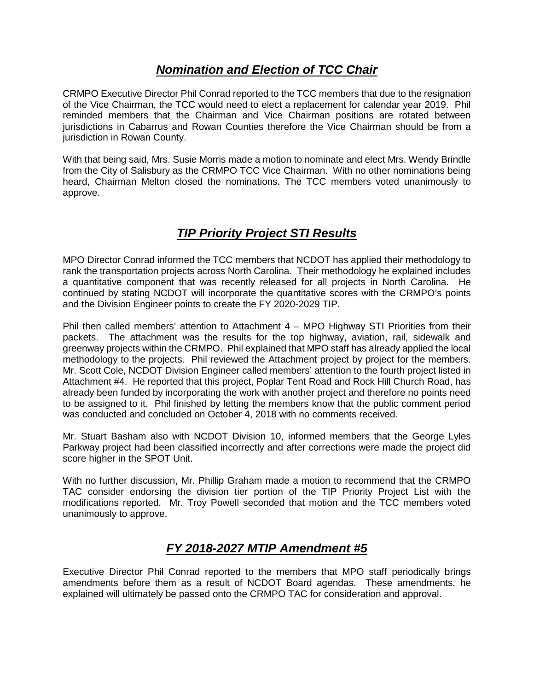#### *Nomination and Election of TCC Chair*

CRMPO Executive Director Phil Conrad reported to the TCC members that due to the resignation of the Vice Chairman, the TCC would need to elect a replacement for calendar year 2019. Phil reminded members that the Chairman and Vice Chairman positions are rotated between jurisdictions in Cabarrus and Rowan Counties therefore the Vice Chairman should be from a jurisdiction in Rowan County.

With that being said, Mrs. Susie Morris made a motion to nominate and elect Mrs. Wendy Brindle from the City of Salisbury as the CRMPO TCC Vice Chairman. With no other nominations being heard, Chairman Melton closed the nominations. The TCC members voted unanimously to approve.

# *TIP Priority Project STI Results*

MPO Director Conrad informed the TCC members that NCDOT has applied their methodology to rank the transportation projects across North Carolina. Their methodology he explained includes a quantitative component that was recently released for all projects in North Carolina. He continued by stating NCDOT will incorporate the quantitative scores with the CRMPO's points and the Division Engineer points to create the FY 2020-2029 TIP.

Phil then called members' attention to Attachment 4 – MPO Highway STI Priorities from their packets. The attachment was the results for the top highway, aviation, rail, sidewalk and greenway projects within the CRMPO. Phil explained that MPO staff has already applied the local methodology to the projects. Phil reviewed the Attachment project by project for the members. Mr. Scott Cole, NCDOT Division Engineer called members' attention to the fourth project listed in Attachment #4. He reported that this project, Poplar Tent Road and Rock Hill Church Road, has already been funded by incorporating the work with another project and therefore no points need to be assigned to it. Phil finished by letting the members know that the public comment period was conducted and concluded on October 4, 2018 with no comments received.

Mr. Stuart Basham also with NCDOT Division 10, informed members that the George Lyles Parkway project had been classified incorrectly and after corrections were made the project did score higher in the SPOT Unit.

With no further discussion, Mr. Phillip Graham made a motion to recommend that the CRMPO TAC consider endorsing the division tier portion of the TIP Priority Project List with the modifications reported. Mr. Troy Powell seconded that motion and the TCC members voted unanimously to approve.

# *FY 2018-2027 MTIP Amendment #5*

Executive Director Phil Conrad reported to the members that MPO staff periodically brings amendments before them as a result of NCDOT Board agendas. These amendments, he explained will ultimately be passed onto the CRMPO TAC for consideration and approval.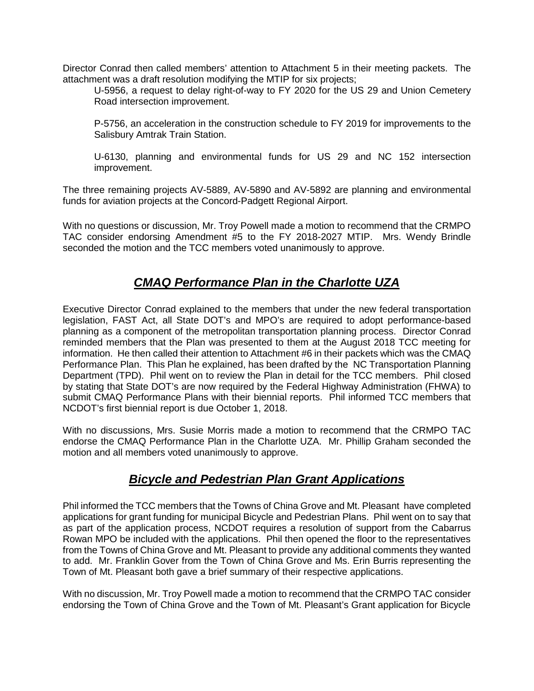Director Conrad then called members' attention to Attachment 5 in their meeting packets. The attachment was a draft resolution modifying the MTIP for six projects;

U-5956, a request to delay right-of-way to FY 2020 for the US 29 and Union Cemetery Road intersection improvement.

P-5756, an acceleration in the construction schedule to FY 2019 for improvements to the Salisbury Amtrak Train Station.

U-6130, planning and environmental funds for US 29 and NC 152 intersection improvement.

The three remaining projects AV-5889, AV-5890 and AV-5892 are planning and environmental funds for aviation projects at the Concord-Padgett Regional Airport.

With no questions or discussion, Mr. Troy Powell made a motion to recommend that the CRMPO TAC consider endorsing Amendment #5 to the FY 2018-2027 MTIP. Mrs. Wendy Brindle seconded the motion and the TCC members voted unanimously to approve.

#### *CMAQ Performance Plan in the Charlotte UZA*

Executive Director Conrad explained to the members that under the new federal transportation legislation, FAST Act, all State DOT's and MPO's are required to adopt performance-based planning as a component of the metropolitan transportation planning process. Director Conrad reminded members that the Plan was presented to them at the August 2018 TCC meeting for information. He then called their attention to Attachment #6 in their packets which was the CMAQ Performance Plan. This Plan he explained, has been drafted by the NC Transportation Planning Department (TPD). Phil went on to review the Plan in detail for the TCC members. Phil closed by stating that State DOT's are now required by the Federal Highway Administration (FHWA) to submit CMAQ Performance Plans with their biennial reports. Phil informed TCC members that NCDOT's first biennial report is due October 1, 2018.

With no discussions, Mrs. Susie Morris made a motion to recommend that the CRMPO TAC endorse the CMAQ Performance Plan in the Charlotte UZA. Mr. Phillip Graham seconded the motion and all members voted unanimously to approve.

# *Bicycle and Pedestrian Plan Grant Applications*

Phil informed the TCC members that the Towns of China Grove and Mt. Pleasant have completed applications for grant funding for municipal Bicycle and Pedestrian Plans. Phil went on to say that as part of the application process, NCDOT requires a resolution of support from the Cabarrus Rowan MPO be included with the applications. Phil then opened the floor to the representatives from the Towns of China Grove and Mt. Pleasant to provide any additional comments they wanted to add. Mr. Franklin Gover from the Town of China Grove and Ms. Erin Burris representing the Town of Mt. Pleasant both gave a brief summary of their respective applications.

With no discussion, Mr. Troy Powell made a motion to recommend that the CRMPO TAC consider endorsing the Town of China Grove and the Town of Mt. Pleasant's Grant application for Bicycle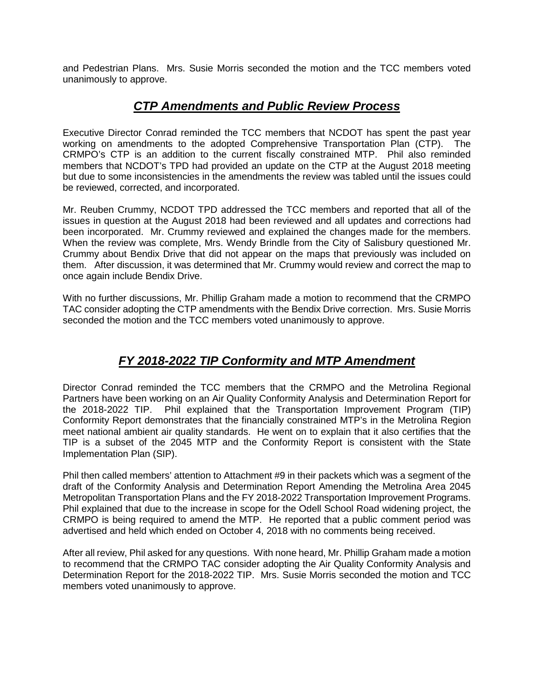and Pedestrian Plans. Mrs. Susie Morris seconded the motion and the TCC members voted unanimously to approve.

#### *CTP Amendments and Public Review Process*

Executive Director Conrad reminded the TCC members that NCDOT has spent the past year working on amendments to the adopted Comprehensive Transportation Plan (CTP). The CRMPO's CTP is an addition to the current fiscally constrained MTP. Phil also reminded members that NCDOT's TPD had provided an update on the CTP at the August 2018 meeting but due to some inconsistencies in the amendments the review was tabled until the issues could be reviewed, corrected, and incorporated.

Mr. Reuben Crummy, NCDOT TPD addressed the TCC members and reported that all of the issues in question at the August 2018 had been reviewed and all updates and corrections had been incorporated. Mr. Crummy reviewed and explained the changes made for the members. When the review was complete, Mrs. Wendy Brindle from the City of Salisbury questioned Mr. Crummy about Bendix Drive that did not appear on the maps that previously was included on them. After discussion, it was determined that Mr. Crummy would review and correct the map to once again include Bendix Drive.

With no further discussions, Mr. Phillip Graham made a motion to recommend that the CRMPO TAC consider adopting the CTP amendments with the Bendix Drive correction. Mrs. Susie Morris seconded the motion and the TCC members voted unanimously to approve.

# *FY 2018-2022 TIP Conformity and MTP Amendment*

Director Conrad reminded the TCC members that the CRMPO and the Metrolina Regional Partners have been working on an Air Quality Conformity Analysis and Determination Report for the 2018-2022 TIP. Phil explained that the Transportation Improvement Program (TIP) Conformity Report demonstrates that the financially constrained MTP's in the Metrolina Region meet national ambient air quality standards. He went on to explain that it also certifies that the TIP is a subset of the 2045 MTP and the Conformity Report is consistent with the State Implementation Plan (SIP).

Phil then called members' attention to Attachment #9 in their packets which was a segment of the draft of the Conformity Analysis and Determination Report Amending the Metrolina Area 2045 Metropolitan Transportation Plans and the FY 2018-2022 Transportation Improvement Programs. Phil explained that due to the increase in scope for the Odell School Road widening project, the CRMPO is being required to amend the MTP. He reported that a public comment period was advertised and held which ended on October 4, 2018 with no comments being received.

After all review, Phil asked for any questions. With none heard, Mr. Phillip Graham made a motion to recommend that the CRMPO TAC consider adopting the Air Quality Conformity Analysis and Determination Report for the 2018-2022 TIP. Mrs. Susie Morris seconded the motion and TCC members voted unanimously to approve.